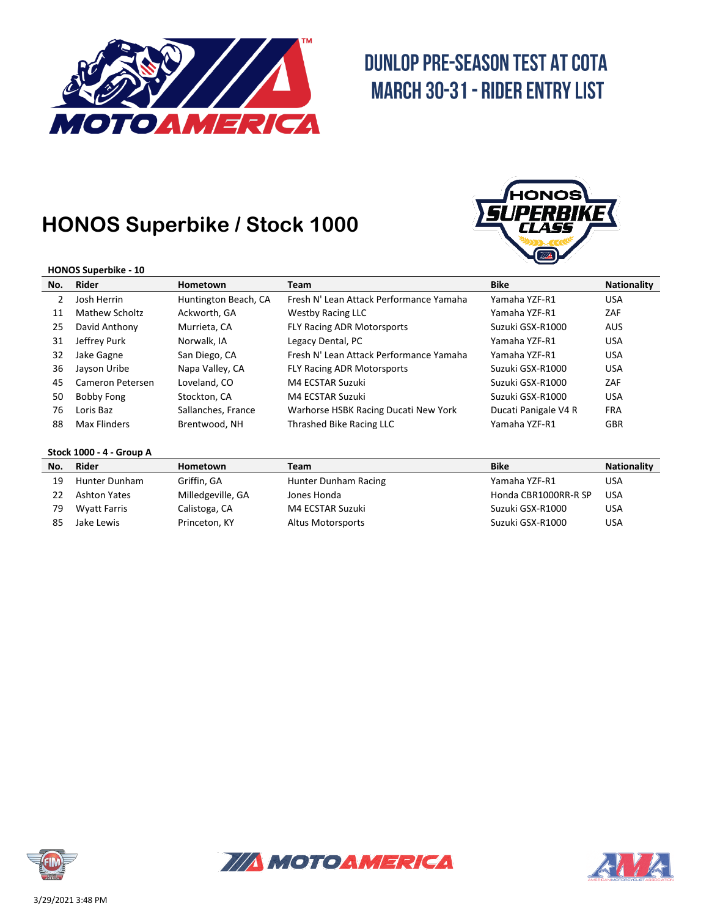

# **DUNLOP PRE-SEASON TEST AT COTA MARCH 30-31 - RIDER ENTRY LIST**

### **HONOS Superbike / Stock 1000**



#### **HONOS Superbike - 10**

| No. | Rider            | <b>Hometown</b>      | Team                                    | <b>Bike</b>          | <b>Nationality</b> |
|-----|------------------|----------------------|-----------------------------------------|----------------------|--------------------|
|     | Josh Herrin      | Huntington Beach, CA | Fresh N' Lean Attack Performance Yamaha | Yamaha YZF-R1        | <b>USA</b>         |
| 11  | Mathew Scholtz   | Ackworth, GA         | Westby Racing LLC                       | Yamaha YZF-R1        | ZAF                |
| 25  | David Anthony    | Murrieta, CA         | <b>FLY Racing ADR Motorsports</b>       | Suzuki GSX-R1000     | <b>AUS</b>         |
| 31  | Jeffrey Purk     | Norwalk, IA          | Legacy Dental, PC                       | Yamaha YZF-R1        | <b>USA</b>         |
| 32  | Jake Gagne       | San Diego, CA        | Fresh N' Lean Attack Performance Yamaha | Yamaha YZF-R1        | <b>USA</b>         |
| 36  | Jayson Uribe     | Napa Valley, CA      | <b>FLY Racing ADR Motorsports</b>       | Suzuki GSX-R1000     | <b>USA</b>         |
| 45  | Cameron Petersen | Loveland, CO         | M4 ECSTAR Suzuki                        | Suzuki GSX-R1000     | ZAF                |
| 50  | Bobby Fong       | Stockton, CA         | M4 ECSTAR Suzuki                        | Suzuki GSX-R1000     | <b>USA</b>         |
| 76  | Loris Baz        | Sallanches, France   | Warhorse HSBK Racing Ducati New York    | Ducati Panigale V4 R | <b>FRA</b>         |
| 88  | Max Flinders     | Brentwood, NH        | Thrashed Bike Racing LLC                | Yamaha YZF-R1        | <b>GBR</b>         |

### **Stock 1000 - 4 - Group A**

| No. | Rider               | Hometown          | Team                 | <b>Bike</b>          | <b>Nationality</b> |
|-----|---------------------|-------------------|----------------------|----------------------|--------------------|
| 19  | Hunter Dunham       | Griffin, GA       | Hunter Dunham Racing | Yamaha YZF-R1        | USA                |
|     | <b>Ashton Yates</b> | Milledgeville, GA | Jones Honda          | Honda CBR1000RR-R SP | <b>USA</b>         |
| 79  | Wyatt Farris        | Calistoga, CA     | M4 ECSTAR Suzuki     | Suzuki GSX-R1000     | USA                |
|     | Jake Lewis          | Princeton, KY     | Altus Motorsports    | Suzuki GSX-R1000     | USA                |





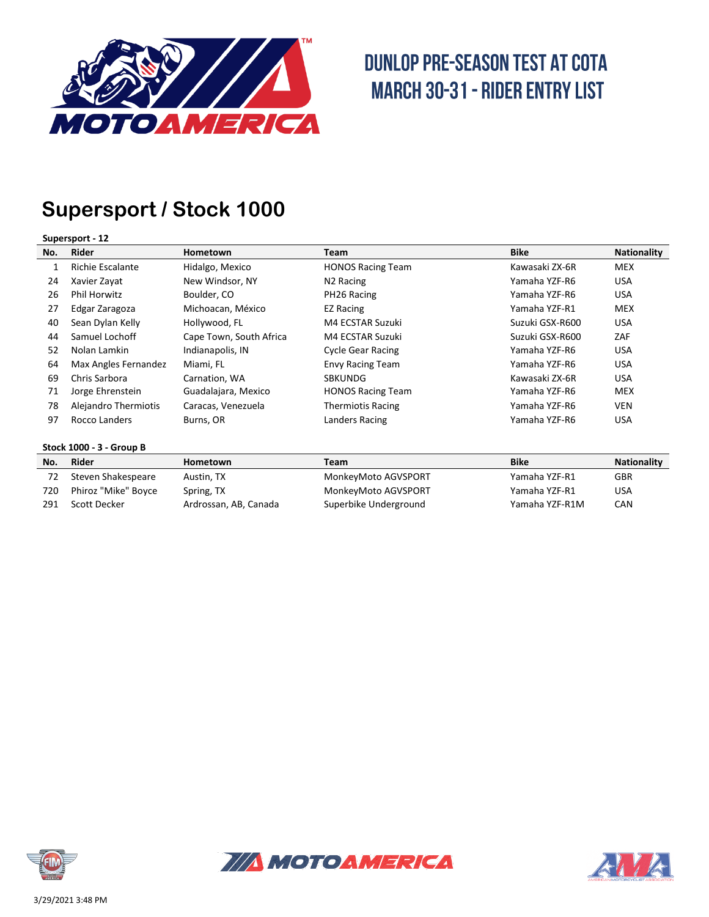

# **DUNLOP PRE-SEASON TEST AT COTA MARCH 30-31 - RIDER ENTRY LIST**

## **Supersport / Stock 1000**

### **Supersport - 12**

| No. | Rider                | Hometown                | Team                     | <b>Bike</b>     | <b>Nationality</b> |
|-----|----------------------|-------------------------|--------------------------|-----------------|--------------------|
|     | Richie Escalante     | Hidalgo, Mexico         | <b>HONOS Racing Team</b> | Kawasaki ZX-6R  | <b>MEX</b>         |
| 24  | Xavier Zayat         | New Windsor, NY         | N <sub>2</sub> Racing    | Yamaha YZF-R6   | <b>USA</b>         |
| 26  | <b>Phil Horwitz</b>  | Boulder, CO             | PH26 Racing              | Yamaha YZF-R6   | <b>USA</b>         |
| 27  | Edgar Zaragoza       | Michoacan, México       | EZ Racing                | Yamaha YZF-R1   | <b>MEX</b>         |
| 40  | Sean Dylan Kelly     | Hollywood, FL           | M4 ECSTAR Suzuki         | Suzuki GSX-R600 | <b>USA</b>         |
| 44  | Samuel Lochoff       | Cape Town, South Africa | M4 ECSTAR Suzuki         | Suzuki GSX-R600 | ZAF                |
| 52  | Nolan Lamkin         | Indianapolis, IN        | <b>Cycle Gear Racing</b> | Yamaha YZF-R6   | <b>USA</b>         |
| 64  | Max Angles Fernandez | Miami, FL               | <b>Envy Racing Team</b>  | Yamaha YZF-R6   | <b>USA</b>         |
| 69  | Chris Sarbora        | Carnation, WA           | <b>SBKUNDG</b>           | Kawasaki ZX-6R  | <b>USA</b>         |
| 71  | Jorge Ehrenstein     | Guadalajara, Mexico     | <b>HONOS Racing Team</b> | Yamaha YZF-R6   | <b>MEX</b>         |
| 78  | Alejandro Thermiotis | Caracas, Venezuela      | <b>Thermiotis Racing</b> | Yamaha YZF-R6   | <b>VEN</b>         |
| 97  | Rocco Landers        | Burns, OR               | Landers Racing           | Yamaha YZF-R6   | <b>USA</b>         |

### **Stock 1000 - 3 - Group B**

| No. | Rider               | Hometown              | Team                  | <b>Bike</b>    | <b>Nationality</b> |
|-----|---------------------|-----------------------|-----------------------|----------------|--------------------|
|     | Steven Shakespeare  | Austin. TX            | MonkeyMoto AGVSPORT   | Yamaha YZF-R1  | GBR                |
| 720 | Phiroz "Mike" Boyce | Spring, TX            | MonkeyMoto AGVSPORT   | Yamaha YZF-R1  | USA                |
| 291 | Scott Decker        | Ardrossan, AB, Canada | Superbike Underground | Yamaha YZF-R1M | CAN                |